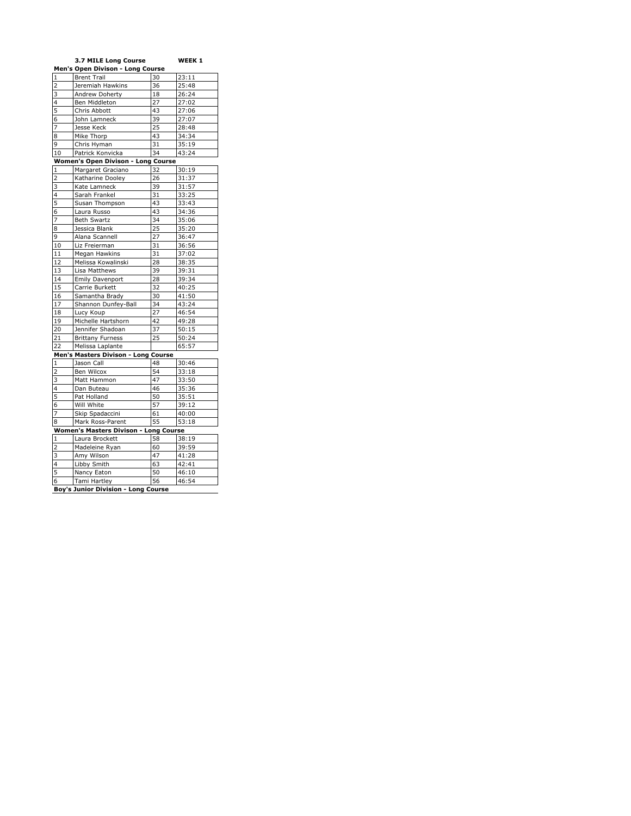|                         | 3.7 MILE Long Course                       |    | WEEK 1 |
|-------------------------|--------------------------------------------|----|--------|
|                         | Men's Open Divison - Long Course           |    |        |
| $\mathbf{1}$            | <b>Brent Trail</b>                         | 30 | 23:11  |
| $\overline{c}$          | Jeremiah Hawkins                           | 36 | 25:48  |
| 3                       | Andrew Doherty                             | 18 | 26:24  |
| $\overline{4}$          | Ben Middleton                              | 27 | 27:02  |
| 5                       | Chris Abbott                               | 43 | 27:06  |
| 6                       | John Lamneck                               | 39 | 27:07  |
| 7                       | Jesse Keck                                 | 25 | 28:48  |
| 8                       | Mike Thorp                                 | 43 | 34:34  |
| 9                       | Chris Hyman                                | 31 | 35:19  |
| 10                      | Patrick Konvicka                           | 34 | 43:24  |
|                         | Women's Open Divison - Long Course         |    |        |
| 1                       | Margaret Graciano                          | 32 | 30:19  |
| $\overline{\mathbf{c}}$ | Katharine Dooley                           | 26 | 31:37  |
| 3                       | Kate Lamneck                               | 39 | 31:57  |
| 4                       | Sarah Frankel                              | 31 | 33:25  |
| 5                       | Susan Thompson                             | 43 | 33:43  |
| 6                       | Laura Russo                                | 43 | 34:36  |
| 7                       | <b>Beth Swartz</b>                         | 34 | 35:06  |
| 8                       | Jessica Blank                              | 25 | 35:20  |
| 9                       | Alana Scannell                             | 27 | 36:47  |
| 10                      | Liz Freierman                              | 31 | 36:56  |
| 11                      | Megan Hawkins                              | 31 | 37:02  |
| 12                      | Melissa Kowalinski                         | 28 | 38:35  |
| 13                      | Lisa Matthews                              | 39 | 39:31  |
| 14                      | <b>Emily Davenport</b>                     | 28 | 39:34  |
| 15                      | Carrie Burkett                             | 32 | 40:25  |
| 16                      | Samantha Brady                             | 30 | 41:50  |
| 17                      | Shannon Dunfey-Ball                        | 34 | 43:24  |
| 18                      | Lucy Koup                                  | 27 | 46:54  |
| 19                      | Michelle Hartshorn                         | 42 | 49:28  |
| 20                      | Jennifer Shadoan                           | 37 | 50:15  |
| 21                      | <b>Brittany Furness</b>                    | 25 | 50:24  |
| 22                      | Melissa Laplante                           |    | 65:57  |
|                         | Men's Masters Divison - Long Course        |    |        |
| $\mathbf{1}$            | Jason Call                                 | 48 | 30:46  |
| $\overline{\mathbf{c}}$ | Ben Wilcox                                 | 54 | 33:18  |
| 3                       | Matt Hammon                                | 47 | 33:50  |
| $\overline{4}$          | Dan Buteau                                 | 46 | 35:36  |
| 5                       | Pat Holland                                | 50 | 35:51  |
| 6                       | Will White                                 | 57 | 39:12  |
| 7                       | Skip Spadaccini                            | 61 | 40:00  |
| 8                       | Mark Ross-Parent                           | 55 | 53:18  |
|                         | Women's Masters Divison - Long Course      |    |        |
| $\mathbf 1$             | Laura Brockett                             | 58 | 38:19  |
| 2                       | Madeleine Ryan                             | 60 | 39:59  |
| 3                       | Amy Wilson                                 | 47 | 41:28  |
| 4                       | Libby Smith                                | 63 | 42:41  |
| 5                       | Nancy Eaton                                | 50 | 46:10  |
| 6                       | Tami Hartley                               | 56 | 46:54  |
|                         |                                            |    |        |
|                         | <b>Boy's Junior Division - Long Course</b> |    |        |